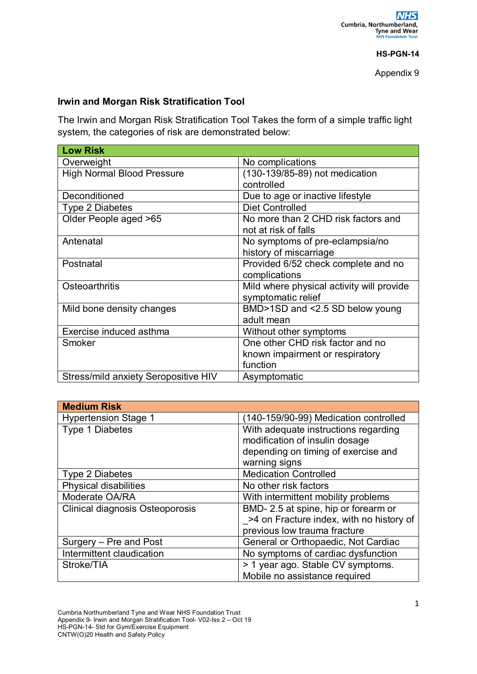## **HS-PGN-14**

Appendix 9

## **Irwin and Morgan Risk Stratification Tool**

The Irwin and Morgan Risk Stratification Tool Takes the form of a simple traffic light system, the categories of risk are demonstrated below:

| <b>Low Risk</b>                      |                                           |
|--------------------------------------|-------------------------------------------|
| Overweight                           | No complications                          |
| <b>High Normal Blood Pressure</b>    | (130-139/85-89) not medication            |
|                                      | controlled                                |
| Deconditioned                        | Due to age or inactive lifestyle          |
| <b>Type 2 Diabetes</b>               | <b>Diet Controlled</b>                    |
| Older People aged >65                | No more than 2 CHD risk factors and       |
|                                      | not at risk of falls                      |
| Antenatal                            | No symptoms of pre-eclampsia/no           |
|                                      | history of miscarriage                    |
| Postnatal                            | Provided 6/52 check complete and no       |
|                                      | complications                             |
| Osteoarthritis                       | Mild where physical activity will provide |
|                                      | symptomatic relief                        |
| Mild bone density changes            | BMD>1SD and <2.5 SD below young           |
|                                      | adult mean                                |
| Exercise induced asthma              | Without other symptoms                    |
| Smoker                               | One other CHD risk factor and no          |
|                                      | known impairment or respiratory           |
|                                      | function                                  |
| Stress/mild anxiety Seropositive HIV | Asymptomatic                              |

| <b>Medium Risk</b>                     |                                          |
|----------------------------------------|------------------------------------------|
| <b>Hypertension Stage 1</b>            | (140-159/90-99) Medication controlled    |
| <b>Type 1 Diabetes</b>                 | With adequate instructions regarding     |
|                                        | modification of insulin dosage           |
|                                        | depending on timing of exercise and      |
|                                        | warning signs                            |
| <b>Type 2 Diabetes</b>                 | <b>Medication Controlled</b>             |
| <b>Physical disabilities</b>           | No other risk factors                    |
| Moderate OA/RA                         | With intermittent mobility problems      |
| <b>Clinical diagnosis Osteoporosis</b> | BMD-2.5 at spine, hip or forearm or      |
|                                        | >4 on Fracture index, with no history of |
|                                        | previous low trauma fracture             |
| Surgery – Pre and Post                 | General or Orthopaedic, Not Cardiac      |
| Intermittent claudication              | No symptoms of cardiac dysfunction       |
| Stroke/TIA                             | > 1 year ago. Stable CV symptoms.        |
|                                        | Mobile no assistance required            |